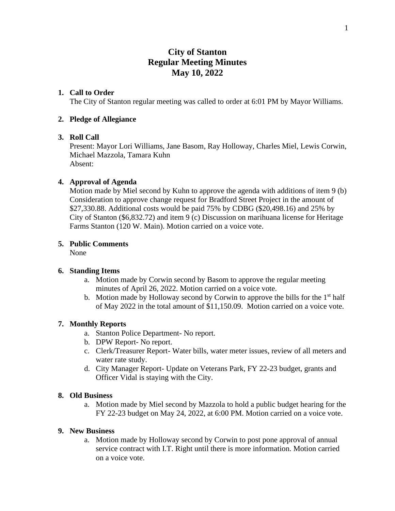# **City of Stanton Regular Meeting Minutes May 10, 2022**

# **1. Call to Order**

The City of Stanton regular meeting was called to order at 6:01 PM by Mayor Williams.

#### **2. Pledge of Allegiance**

# **3. Roll Call**

Present: Mayor Lori Williams, Jane Basom, Ray Holloway, Charles Miel, Lewis Corwin, Michael Mazzola, Tamara Kuhn Absent:

# **4. Approval of Agenda**

Motion made by Miel second by Kuhn to approve the agenda with additions of item 9 (b) Consideration to approve change request for Bradford Street Project in the amount of \$27,330.88. Additional costs would be paid 75% by CDBG (\$20,498.16) and 25% by City of Stanton (\$6,832.72) and item 9 (c) Discussion on marihuana license for Heritage Farms Stanton (120 W. Main). Motion carried on a voice vote.

# **5. Public Comments**

None

# **6. Standing Items**

- a. Motion made by Corwin second by Basom to approve the regular meeting minutes of April 26, 2022. Motion carried on a voice vote.
- b. Motion made by Holloway second by Corwin to approve the bills for the 1<sup>st</sup> half of May 2022 in the total amount of \$11,150.09. Motion carried on a voice vote.

#### **7. Monthly Reports**

- a. Stanton Police Department- No report.
- b. DPW Report- No report.
- c. Clerk/Treasurer Report- Water bills, water meter issues, review of all meters and water rate study.
- d. City Manager Report- Update on Veterans Park, FY 22-23 budget, grants and Officer Vidal is staying with the City.

# **8. Old Business**

a. Motion made by Miel second by Mazzola to hold a public budget hearing for the FY 22-23 budget on May 24, 2022, at 6:00 PM. Motion carried on a voice vote.

#### **9. New Business**

a. Motion made by Holloway second by Corwin to post pone approval of annual service contract with I.T. Right until there is more information. Motion carried on a voice vote.